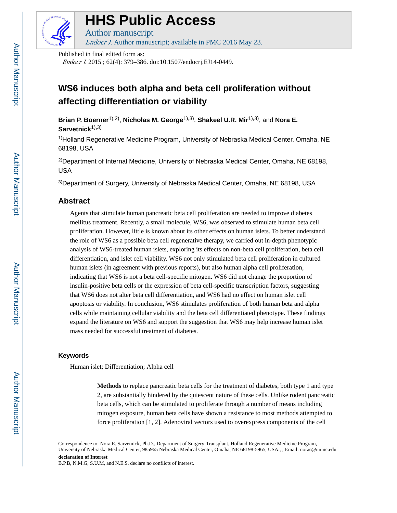

# **HHS Public Access**

Author manuscript Endocr J. Author manuscript; available in PMC 2016 May 23.

Published in final edited form as:

Endocr J. 2015 ; 62(4): 379–386. doi:10.1507/endocrj.EJ14-0449.

## **WS6 induces both alpha and beta cell proliferation without affecting differentiation or viability**

**Brian P. Boerner**1),2) , **Nicholas M. George**1),3) , **Shakeel U.R. Mir**1),3), and **Nora E. Sarvetnick**1),3)

<sup>1)</sup>Holland Regenerative Medicine Program, University of Nebraska Medical Center, Omaha, NE 68198, USA

<sup>2)</sup>Department of Internal Medicine, University of Nebraska Medical Center, Omaha, NE 68198, USA

3)Department of Surgery, University of Nebraska Medical Center, Omaha, NE 68198, USA

## **Abstract**

Agents that stimulate human pancreatic beta cell proliferation are needed to improve diabetes mellitus treatment. Recently, a small molecule, WS6, was observed to stimulate human beta cell proliferation. However, little is known about its other effects on human islets. To better understand the role of WS6 as a possible beta cell regenerative therapy, we carried out in-depth phenotypic analysis of WS6-treated human islets, exploring its effects on non-beta cell proliferation, beta cell differentiation, and islet cell viability. WS6 not only stimulated beta cell proliferation in cultured human islets (in agreement with previous reports), but also human alpha cell proliferation, indicating that WS6 is not a beta cell-specific mitogen. WS6 did not change the proportion of insulin-positive beta cells or the expression of beta cell-specific transcription factors, suggesting that WS6 does not alter beta cell differentiation, and WS6 had no effect on human islet cell apoptosis or viability. In conclusion, WS6 stimulates proliferation of both human beta and alpha cells while maintaining cellular viability and the beta cell differentiated phenotype. These findings expand the literature on WS6 and support the suggestion that WS6 may help increase human islet mass needed for successful treatment of diabetes.

## **Keywords**

Human islet; Differentiation; Alpha cell

**Methods** to replace pancreatic beta cells for the treatment of diabetes, both type 1 and type 2, are substantially hindered by the quiescent nature of these cells. Unlike rodent pancreatic beta cells, which can be stimulated to proliferate through a number of means including mitogen exposure, human beta cells have shown a resistance to most methods attempted to force proliferation [1, 2]. Adenoviral vectors used to overexpress components of the cell

Correspondence to: Nora E. Sarvetnick, Ph.D., Department of Surgery-Transplant, Holland Regenerative Medicine Program, University of Nebraska Medical Center, 985965 Nebraska Medical Center, Omaha, NE 68198-5965, USA., ; Email: noras@unmc.edu **declaration of Interest**

B.P.B, N.M.G, S.U.M, and N.E.S. declare no conflicts of interest.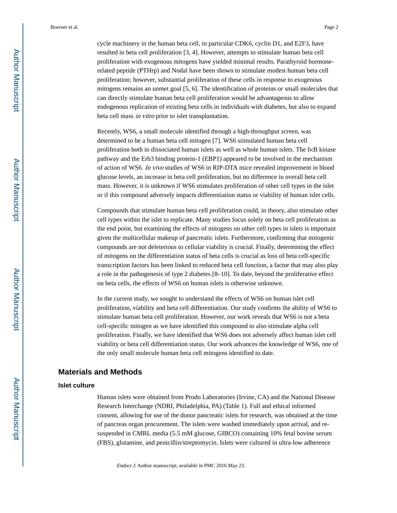cycle machinery in the human beta cell, in particular CDK6, cyclin D1, and E2F3, have resulted in beta cell proliferation [3, 4]. However, attempts to stimulate human beta cell proliferation with exogenous mitogens have yielded minimal results. Parathyroid hormonerelated peptide (PTHrp) and Nodal have been shown to stimulate modest human beta cell proliferation; however, substantial proliferation of these cells in response to exogenous mitogens remains an unmet goal [5, 6]. The identification of proteins or small molecules that can directly stimulate human beta cell proliferation would be advantageous to allow endogenous replication of existing beta cells in individuals with diabetes, but also to expand beta cell mass in vitro prior to islet transplantation.

Recently, WS6, a small molecule identified through a high-throughput screen, was determined to be a human beta cell mitogen [7]. WS6 stimulated human beta cell proliferation both in dissociated human islets as well as whole human islets. The IκB kinase pathway and the Erb3 binding protein-1 (EBP1) appeared to be involved in the mechanism of action of WS6. In vivo studies of WS6 in RIP-DTA mice revealed improvement in blood glucose levels, an increase in beta cell proliferation, but no difference in overall beta cell mass. However, it is unknown if WS6 stimulates proliferation of other cell types in the islet or if this compound adversely impacts differentiation status or viability of human islet cells.

Compounds that stimulate human beta cell proliferation could, in theory, also stimulate other cell types within the islet to replicate. Many studies focus solely on beta cell proliferation as the end point, but examining the effects of mitogens on other cell types in islets is important given the multicellular makeup of pancreatic islets. Furthermore, confirming that mitogenic compounds are not deleterious to cellular viability is crucial. Finally, determining the effect of mitogens on the differentiation status of beta cells is crucial as loss of beta cell-specific transcription factors has been linked to reduced beta cell function, a factor that may also play a role in the pathogenesis of type 2 diabetes [8–10]. To date, beyond the proliferative effect on beta cells, the effects of WS6 on human islets is otherwise unknown.

In the current study, we sought to understand the effects of WS6 on human islet cell proliferation, viability and beta cell differentiation. Our study confirms the ability of WS6 to stimulate human beta cell proliferation. However, our work reveals that WS6 is not a beta cell-specific mitogen as we have identified this compound to also stimulate alpha cell proliferation. Finally, we have identified that WS6 does not adversely affect human islet cell viability or beta cell differentiation status. Our work advances the knowledge of WS6, one of the only small molecule human beta cell mitogens identified to date.

## **Materials and Methods**

#### **Islet culture**

Human islets were obtained from Prodo Laboratories (Irvine, CA) and the National Disease Research Interchange (NDRI, Philadelphia, PA) (Table 1). Full and ethical informed consent, allowing for use of the donor pancreatic islets for research, was obtained at the time of pancreas organ procurement. The islets were washed immediately upon arrival, and resuspended in CMRL media (5.5 mM glucose, GIBCO) containing 10% fetal bovine serum (FBS), glutamine, and penicillin/streptomycin. Islets were cultured in ultra-low adherence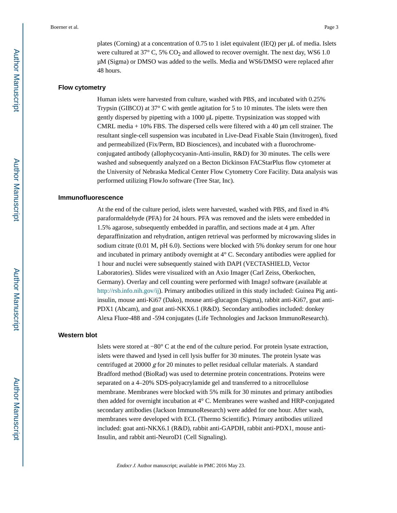plates (Corning) at a concentration of 0.75 to 1 islet equivalent (IEQ) per μL of media. Islets were cultured at  $37^{\circ}$  C, 5% CO<sub>2</sub> and allowed to recover overnight. The next day, WS6 1.0 μM (Sigma) or DMSO was added to the wells. Media and WS6/DMSO were replaced after 48 hours.

#### **Flow cytometry**

Human islets were harvested from culture, washed with PBS, and incubated with 0.25% Trypsin (GIBCO) at 37° C with gentle agitation for 5 to 10 minutes. The islets were then gently dispersed by pipetting with a 1000 μL pipette. Trypsinization was stopped with CMRL media  $+10\%$  FBS. The dispersed cells were filtered with a 40  $\mu$ m cell strainer. The resultant single-cell suspension was incubated in Live-Dead Fixable Stain (Invitrogen), fixed and permeabilized (Fix/Perm, BD Biosciences), and incubated with a fluorochromeconjugated antibody (allophycocyanin-Anti-insulin, R&D) for 30 minutes. The cells were washed and subsequently analyzed on a Becton Dickinson FACStarPlus flow cytometer at the University of Nebraska Medical Center Flow Cytometry Core Facility. Data analysis was performed utilizing FlowJo software (Tree Star, Inc).

#### **Immunofluorescence**

At the end of the culture period, islets were harvested, washed with PBS, and fixed in 4% paraformaldehyde (PFA) for 24 hours. PFA was removed and the islets were embedded in 1.5% agarose, subsequently embedded in paraffin, and sections made at 4 μm. After deparaffinization and rehydration, antigen retrieval was performed by microwaving slides in sodium citrate (0.01 M, pH 6.0). Sections were blocked with 5% donkey serum for one hour and incubated in primary antibody overnight at 4° C. Secondary antibodies were applied for 1 hour and nuclei were subsequently stained with DAPI (VECTASHIELD, Vector Laboratories). Slides were visualized with an Axio Imager (Carl Zeiss, Oberkochen, Germany). Overlay and cell counting were performed with ImageJ software (available at <http://rsb.info.nih.gov/ij>). Primary antibodies utilized in this study included: Guinea Pig antiinsulin, mouse anti-Ki67 (Dako), mouse anti-glucagon (Sigma), rabbit anti-Ki67, goat anti-PDX1 (Abcam), and goat anti-NKX6.1 (R&D). Secondary antibodies included: donkey Alexa Fluor-488 and -594 conjugates (Life Technologies and Jackson ImmunoResearch).

#### **Western blot**

Islets were stored at −80° C at the end of the culture period. For protein lysate extraction, islets were thawed and lysed in cell lysis buffer for 30 minutes. The protein lysate was centrifuged at 20000 g for 20 minutes to pellet residual cellular materials. A standard Bradford method (BioRad) was used to determine protein concentrations. Proteins were separated on a 4–20% SDS-polyacrylamide gel and transferred to a nitrocellulose membrane. Membranes were blocked with 5% milk for 30 minutes and primary antibodies then added for overnight incubation at 4° C. Membranes were washed and HRP-conjugated secondary antibodies (Jackson ImmunoResearch) were added for one hour. After wash, membranes were developed with ECL (Thermo Scientific). Primary antibodies utilized included: goat anti-NKX6.1 (R&D), rabbit anti-GAPDH, rabbit anti-PDX1, mouse anti-Insulin, and rabbit anti-NeuroD1 (Cell Signaling).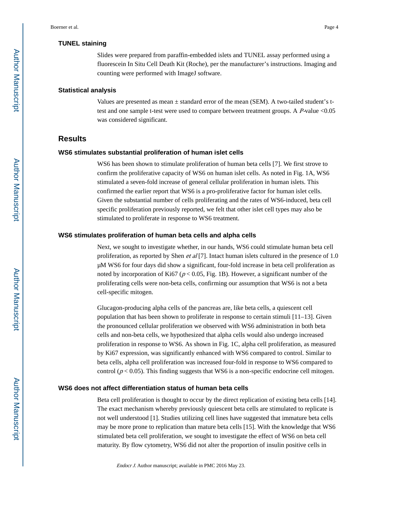#### **TUNEL staining**

Slides were prepared from paraffin-embedded islets and TUNEL assay performed using a fluorescein In Situ Cell Death Kit (Roche), per the manufacturer's instructions. Imaging and counting were performed with ImageJ software.

#### **Statistical analysis**

Values are presented as mean  $\pm$  standard error of the mean (SEM). A two-tailed student's ttest and one sample t-test were used to compare between treatment groups. A P-value <0.05 was considered significant.

## **Results**

#### **WS6 stimulates substantial proliferation of human islet cells**

WS6 has been shown to stimulate proliferation of human beta cells [7]. We first strove to confirm the proliferative capacity of WS6 on human islet cells. As noted in Fig. 1A, WS6 stimulated a seven-fold increase of general cellular proliferation in human islets. This confirmed the earlier report that WS6 is a pro-proliferative factor for human islet cells. Given the substantial number of cells proliferating and the rates of WS6-induced, beta cell specific proliferation previously reported, we felt that other islet cell types may also be stimulated to proliferate in response to WS6 treatment.

#### **WS6 stimulates proliferation of human beta cells and alpha cells**

Next, we sought to investigate whether, in our hands, WS6 could stimulate human beta cell proliferation, as reported by Shen et al [7]. Intact human islets cultured in the presence of 1.0 μM WS6 for four days did show a significant, four-fold increase in beta cell proliferation as noted by incorporation of Ki67 ( $p < 0.05$ , Fig. 1B). However, a significant number of the proliferating cells were non-beta cells, confirming our assumption that WS6 is not a beta cell-specific mitogen.

Glucagon-producing alpha cells of the pancreas are, like beta cells, a quiescent cell population that has been shown to proliferate in response to certain stimuli [11–13]. Given the pronounced cellular proliferation we observed with WS6 administration in both beta cells and non-beta cells, we hypothesized that alpha cells would also undergo increased proliferation in response to WS6. As shown in Fig. 1C, alpha cell proliferation, as measured by Ki67 expression, was significantly enhanced with WS6 compared to control. Similar to beta cells, alpha cell proliferation was increased four-fold in response to WS6 compared to control ( $p < 0.05$ ). This finding suggests that WS6 is a non-specific endocrine cell mitogen.

#### **WS6 does not affect differentiation status of human beta cells**

Beta cell proliferation is thought to occur by the direct replication of existing beta cells [14]. The exact mechanism whereby previously quiescent beta cells are stimulated to replicate is not well understood [1]. Studies utilizing cell lines have suggested that immature beta cells may be more prone to replication than mature beta cells [15]. With the knowledge that WS6 stimulated beta cell proliferation, we sought to investigate the effect of WS6 on beta cell maturity. By flow cytometry, WS6 did not alter the proportion of insulin positive cells in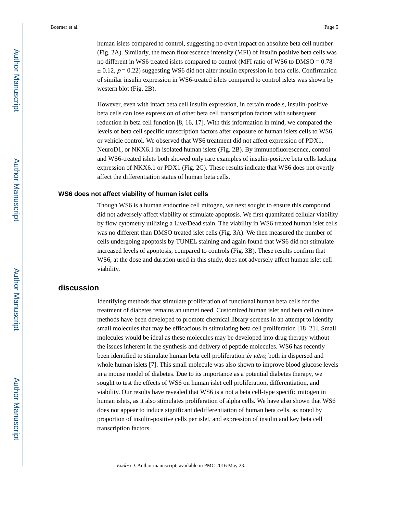human islets compared to control, suggesting no overt impact on absolute beta cell number (Fig. 2A). Similarly, the mean fluorescence intensity (MFI) of insulin positive beta cells was no different in WS6 treated islets compared to control (MFI ratio of WS6 to DMSO = 0.78  $\pm$  0.12,  $p = 0.22$ ) suggesting WS6 did not alter insulin expression in beta cells. Confirmation of similar insulin expression in WS6-treated islets compared to control islets was shown by western blot (Fig. 2B).

However, even with intact beta cell insulin expression, in certain models, insulin-positive beta cells can lose expression of other beta cell transcription factors with subsequent reduction in beta cell function [8, 16, 17]. With this information in mind, we compared the levels of beta cell specific transcription factors after exposure of human islets cells to WS6, or vehicle control. We observed that WS6 treatment did not affect expression of PDX1, NeuroD1, or NKX6.1 in isolated human islets (Fig. 2B). By immunofluorescence, control and WS6-treated islets both showed only rare examples of insulin-positive beta cells lacking expression of NKX6.1 or PDX1 (Fig. 2C). These results indicate that WS6 does not overtly affect the differentiation status of human beta cells.

#### **WS6 does not affect viability of human islet cells**

Though WS6 is a human endocrine cell mitogen, we next sought to ensure this compound did not adversely affect viability or stimulate apoptosis. We first quantitated cellular viability by flow cytometry utilizing a Live/Dead stain. The viability in WS6 treated human islet cells was no different than DMSO treated islet cells (Fig. 3A). We then measured the number of cells undergoing apoptosis by TUNEL staining and again found that WS6 did not stimulate increased levels of apoptosis, compared to controls (Fig. 3B). These results confirm that WS6, at the dose and duration used in this study, does not adversely affect human islet cell viability.

## **discussion**

Identifying methods that stimulate proliferation of functional human beta cells for the treatment of diabetes remains an unmet need. Customized human islet and beta cell culture methods have been developed to promote chemical library screens in an attempt to identify small molecules that may be efficacious in stimulating beta cell proliferation [18–21]. Small molecules would be ideal as these molecules may be developed into drug therapy without the issues inherent in the synthesis and delivery of peptide molecules. WS6 has recently been identified to stimulate human beta cell proliferation in vitro, both in dispersed and whole human islets [7]. This small molecule was also shown to improve blood glucose levels in a mouse model of diabetes. Due to its importance as a potential diabetes therapy, we sought to test the effects of WS6 on human islet cell proliferation, differentiation, and viability. Our results have revealed that WS6 is a not a beta cell-type specific mitogen in human islets, as it also stimulates proliferation of alpha cells. We have also shown that WS6 does not appear to induce significant dedifferentiation of human beta cells, as noted by proportion of insulin-positive cells per islet, and expression of insulin and key beta cell transcription factors.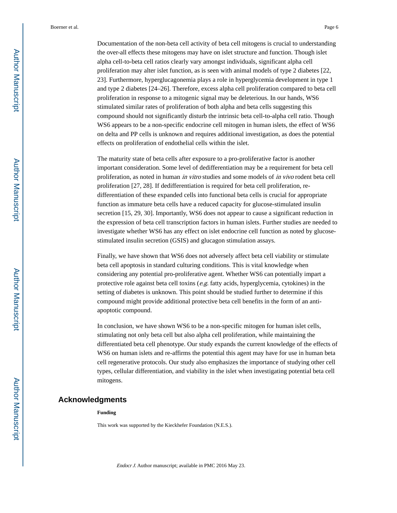Documentation of the non-beta cell activity of beta cell mitogens is crucial to understanding the over-all effects these mitogens may have on islet structure and function. Though islet alpha cell-to-beta cell ratios clearly vary amongst individuals, significant alpha cell proliferation may alter islet function, as is seen with animal models of type 2 diabetes [22, 23]. Furthermore, hyperglucagonemia plays a role in hyperglycemia development in type 1 and type 2 diabetes [24–26]. Therefore, excess alpha cell proliferation compared to beta cell proliferation in response to a mitogenic signal may be deleterious. In our hands, WS6 stimulated similar rates of proliferation of both alpha and beta cells suggesting this compound should not significantly disturb the intrinsic beta cell-to-alpha cell ratio. Though WS6 appears to be a non-specific endocrine cell mitogen in human islets, the effect of WS6 on delta and PP cells is unknown and requires additional investigation, as does the potential effects on proliferation of endothelial cells within the islet.

The maturity state of beta cells after exposure to a pro-proliferative factor is another important consideration. Some level of dedifferentiation may be a requirement for beta cell proliferation, as noted in human in vitro studies and some models of in vivo rodent beta cell proliferation [27, 28]. If dedifferentiation is required for beta cell proliferation, redifferentiation of these expanded cells into functional beta cells is crucial for appropriate function as immature beta cells have a reduced capacity for glucose-stimulated insulin secretion [15, 29, 30]. Importantly, WS6 does not appear to cause a significant reduction in the expression of beta cell transcription factors in human islets. Further studies are needed to investigate whether WS6 has any effect on islet endocrine cell function as noted by glucosestimulated insulin secretion (GSIS) and glucagon stimulation assays.

Finally, we have shown that WS6 does not adversely affect beta cell viability or stimulate beta cell apoptosis in standard culturing conditions. This is vital knowledge when considering any potential pro-proliferative agent. Whether WS6 can potentially impart a protective role against beta cell toxins ( $e.g.$  fatty acids, hyperglycemia, cytokines) in the setting of diabetes is unknown. This point should be studied further to determine if this compound might provide additional protective beta cell benefits in the form of an antiapoptotic compound.

In conclusion, we have shown WS6 to be a non-specific mitogen for human islet cells, stimulating not only beta cell but also alpha cell proliferation, while maintaining the differentiated beta cell phenotype. Our study expands the current knowledge of the effects of WS6 on human islets and re-affirms the potential this agent may have for use in human beta cell regenerative protocols. Our study also emphasizes the importance of studying other cell types, cellular differentiation, and viability in the islet when investigating potential beta cell mitogens.

## **Acknowledgments**

#### **Funding**

This work was supported by the Kieckhefer Foundation (N.E.S.).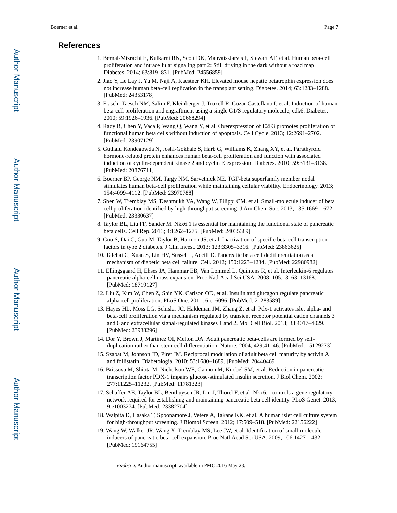## **References**

- 1. Bernal-Mizrachi E, Kulkarni RN, Scott DK, Mauvais-Jarvis F, Stewart AF, et al. Human beta-cell proliferation and intracellular signaling part 2: Still driving in the dark without a road map. Diabetes. 2014; 63:819–831. [PubMed: 24556859]
- 2. Jiao Y, Le Lay J, Yu M, Naji A, Kaestner KH. Elevated mouse hepatic betatrophin expression does not increase human beta-cell replication in the transplant setting. Diabetes. 2014; 63:1283–1288. [PubMed: 24353178]
- 3. Fiaschi-Taesch NM, Salim F, Kleinberger J, Troxell R, Cozar-Castellano I, et al. Induction of human beta-cell proliferation and engraftment using a single G1/S regulatory molecule, cdk6. Diabetes. 2010; 59:1926–1936. [PubMed: 20668294]
- 4. Rady B, Chen Y, Vaca P, Wang Q, Wang Y, et al. Overexpression of E2F3 promotes proliferation of functional human beta cells without induction of apoptosis. Cell Cycle. 2013; 12:2691–2702. [PubMed: 23907129]
- 5. Guthalu Kondegowda N, Joshi-Gokhale S, Harb G, Williams K, Zhang XY, et al. Parathyroid hormone-related protein enhances human beta-cell proliferation and function with associated induction of cyclin-dependent kinase 2 and cyclin E expression. Diabetes. 2010; 59:3131–3138. [PubMed: 20876711]
- 6. Boerner BP, George NM, Targy NM, Sarvetnick NE. TGF-beta superfamily member nodal stimulates human beta-cell proliferation while maintaining cellular viability. Endocrinology. 2013; 154:4099–4112. [PubMed: 23970788]
- 7. Shen W, Tremblay MS, Deshmukh VA, Wang W, Filippi CM, et al. Small-molecule inducer of beta cell proliferation identified by high-throughput screening. J Am Chem Soc. 2013; 135:1669–1672. [PubMed: 23330637]
- 8. Taylor BL, Liu FF, Sander M. Nkx6.1 is essential for maintaining the functional state of pancreatic beta cells. Cell Rep. 2013; 4:1262–1275. [PubMed: 24035389]
- 9. Guo S, Dai C, Guo M, Taylor B, Harmon JS, et al. Inactivation of specific beta cell transcription factors in type 2 diabetes. J Clin Invest. 2013; 123:3305–3316. [PubMed: 23863625]
- 10. Talchai C, Xuan S, Lin HV, Sussel L, Accili D. Pancreatic beta cell dedifferentiation as a mechanism of diabetic beta cell failure. Cell. 2012; 150:1223–1234. [PubMed: 22980982]
- 11. Ellingsgaard H, Ehses JA, Hammar EB, Van Lommel L, Quintens R, et al. Interleukin-6 regulates pancreatic alpha-cell mass expansion. Proc Natl Acad Sci USA. 2008; 105:13163–13168. [PubMed: 18719127]
- 12. Liu Z, Kim W, Chen Z, Shin YK, Carlson OD, et al. Insulin and glucagon regulate pancreatic alpha-cell proliferation. PLoS One. 2011; 6:e16096. [PubMed: 21283589]
- 13. Hayes HL, Moss LG, Schisler JC, Haldeman JM, Zhang Z, et al. Pdx-1 activates islet alpha- and beta-cell proliferation via a mechanism regulated by transient receptor potential cation channels 3 and 6 and extracellular signal-regulated kinases 1 and 2. Mol Cell Biol. 2013; 33:4017–4029. [PubMed: 23938296]
- 14. Dor Y, Brown J, Martinez OI, Melton DA. Adult pancreatic beta-cells are formed by selfduplication rather than stem-cell differentiation. Nature. 2004; 429:41–46. [PubMed: 15129273]
- 15. Szabat M, Johnson JD, Piret JM. Reciprocal modulation of adult beta cell maturity by activin A and follistatin. Diabetologia. 2010; 53:1680–1689. [PubMed: 20440469]
- 16. Brissova M, Shiota M, Nicholson WE, Gannon M, Knobel SM, et al. Reduction in pancreatic transcription factor PDX-1 impairs glucose-stimulated insulin secretion. J Biol Chem. 2002; 277:11225–11232. [PubMed: 11781323]
- 17. Schaffer AE, Taylor BL, Benthuysen JR, Liu J, Thorel F, et al. Nkx6.1 controls a gene regulatory network required for establishing and maintaining pancreatic beta cell identity. PLoS Genet. 2013; 9:e1003274. [PubMed: 23382704]
- 18. Walpita D, Hasaka T, Spoonamore J, Vetere A, Takane KK, et al. A human islet cell culture system for high-throughput screening. J Biomol Screen. 2012; 17:509–518. [PubMed: 22156222]
- 19. Wang W, Walker JR, Wang X, Tremblay MS, Lee JW, et al. Identification of small-molecule inducers of pancreatic beta-cell expansion. Proc Natl Acad Sci USA. 2009; 106:1427–1432. [PubMed: 19164755]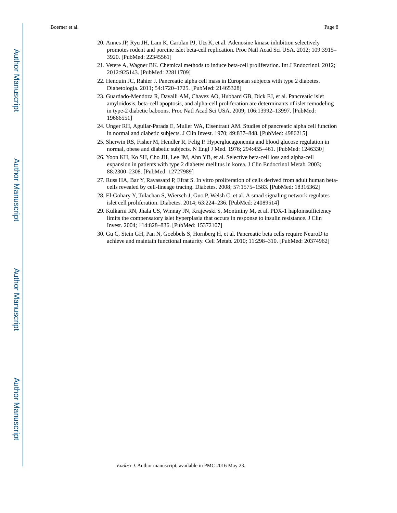- 20. Annes JP, Ryu JH, Lam K, Carolan PJ, Utz K, et al. Adenosine kinase inhibition selectively promotes rodent and porcine islet beta-cell replication. Proc Natl Acad Sci USA. 2012; 109:3915– 3920. [PubMed: 22345561]
- 21. Vetere A, Wagner BK. Chemical methods to induce beta-cell proliferation. Int J Endocrinol. 2012; 2012:925143. [PubMed: 22811709]
- 22. Henquin JC, Rahier J. Pancreatic alpha cell mass in European subjects with type 2 diabetes. Diabetologia. 2011; 54:1720–1725. [PubMed: 21465328]
- 23. Guardado-Mendoza R, Davalli AM, Chavez AO, Hubbard GB, Dick EJ, et al. Pancreatic islet amyloidosis, beta-cell apoptosis, and alpha-cell proliferation are determinants of islet remodeling in type-2 diabetic baboons. Proc Natl Acad Sci USA. 2009; 106:13992–13997. [PubMed: 19666551]
- 24. Unger RH, Aguilar-Parada E, Muller WA, Eisentraut AM. Studies of pancreatic alpha cell function in normal and diabetic subjects. J Clin Invest. 1970; 49:837–848. [PubMed: 4986215]
- 25. Sherwin RS, Fisher M, Hendler R, Felig P. Hyperglucagonemia and blood glucose regulation in normal, obese and diabetic subjects. N Engl J Med. 1976; 294:455–461. [PubMed: 1246330]
- 26. Yoon KH, Ko SH, Cho JH, Lee JM, Ahn YB, et al. Selective beta-cell loss and alpha-cell expansion in patients with type 2 diabetes mellitus in korea. J Clin Endocrinol Metab. 2003; 88:2300–2308. [PubMed: 12727989]
- 27. Russ HA, Bar Y, Ravassard P, Efrat S. In vitro proliferation of cells derived from adult human betacells revealed by cell-lineage tracing. Diabetes. 2008; 57:1575–1583. [PubMed: 18316362]
- 28. El-Gohary Y, Tulachan S, Wiersch J, Guo P, Welsh C, et al. A smad signaling network regulates islet cell proliferation. Diabetes. 2014; 63:224–236. [PubMed: 24089514]
- 29. Kulkarni RN, Jhala US, Winnay JN, Krajewski S, Montminy M, et al. PDX-1 haploinsufficiency limits the compensatory islet hyperplasia that occurs in response to insulin resistance. J Clin Invest. 2004; 114:828–836. [PubMed: 15372107]
- 30. Gu C, Stein GH, Pan N, Goebbels S, Hornberg H, et al. Pancreatic beta cells require NeuroD to achieve and maintain functional maturity. Cell Metab. 2010; 11:298–310. [PubMed: 20374962]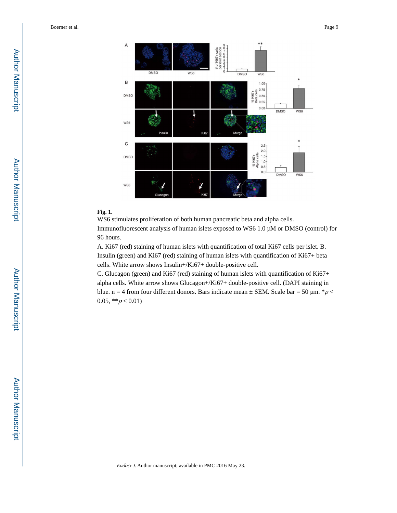



## **Fig. 1.**

A

 $\mathsf B$ 

**DMSO** 

WS6

WS6 stimulates proliferation of both human pancreatic beta and alpha cells.

Immunofluorescent analysis of human islets exposed to WS6 1.0 μM or DMSO (control) for 96 hours.

A. Ki67 (red) staining of human islets with quantification of total Ki67 cells per islet. B. Insulin (green) and Ki67 (red) staining of human islets with quantification of Ki67+ beta cells. White arrow shows Insulin+/Ki67+ double-positive cell.

C. Glucagon (green) and Ki67 (red) staining of human islets with quantification of Ki67+ alpha cells. White arrow shows Glucagon+/Ki67+ double-positive cell. (DAPI staining in blue. n = 4 from four different donors. Bars indicate mean  $\pm$  SEM. Scale bar = 50 µm. \* p < 0.05,  $* p < 0.01$ )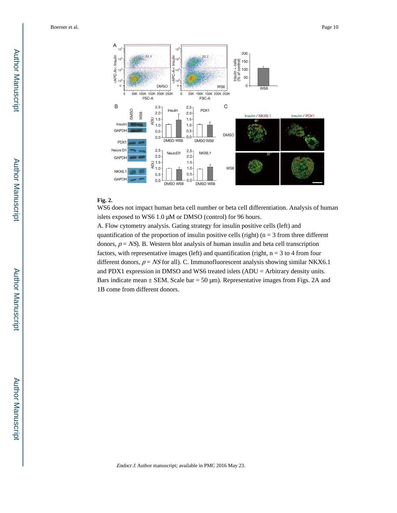

## **Fig. 2.**

WS6 does not impact human beta cell number or beta cell differentiation. Analysis of human islets exposed to WS6 1.0 μM or DMSO (control) for 96 hours.

A. Flow cytometry analysis. Gating strategy for insulin positive cells (left) and quantification of the proportion of insulin positive cells (right) ( $n = 3$  from three different donors,  $p = NS$ ). B. Western blot analysis of human insulin and beta cell transcription factors, with representative images (left) and quantification (right,  $n = 3$  to 4 from four different donors,  $p = NS$  for all). C. Immunofluorescent analysis showing similar NKX6.1 and PDX1 expression in DMSO and WS6 treated islets (ADU = Arbitrary density units. Bars indicate mean  $\pm$  SEM. Scale bar = 50 µm). Representative images from Figs. 2A and 1B come from different donors.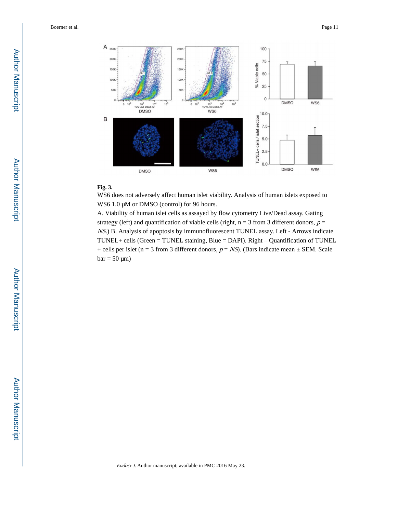

## **Fig. 3.**

WS6 does not adversely affect human islet viability. Analysis of human islets exposed to WS6 1.0 μM or DMSO (control) for 96 hours.

A. Viability of human islet cells as assayed by flow cytometry Live/Dead assay. Gating strategy (left) and quantification of viable cells (right,  $n = 3$  from 3 different donors,  $p =$ NS.) B. Analysis of apoptosis by immunofluorescent TUNEL assay. Left - Arrows indicate TUNEL+ cells (Green = TUNEL staining, Blue = DAPI). Right – Quantification of TUNEL + cells per islet (n = 3 from 3 different donors,  $p = NS$ ). (Bars indicate mean  $\pm$  SEM. Scale  $bar = 50 \mu m$ )